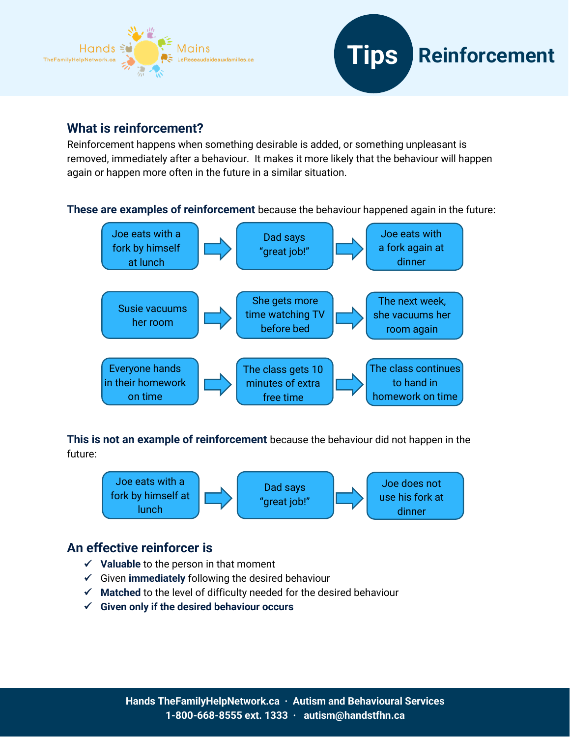



## **What is reinforcement?**

Reinforcement happens when something desirable is added, or something unpleasant is removed, immediately after a behaviour. It makes it more likely that the behaviour will happen again or happen more often in the future in a similar situation.

**These are examples of reinforcement** because the behaviour happened again in the future:



**This is not an example of reinforcement** because the behaviour did not happen in the future:



## **An effective reinforcer is**

- ✓ **Valuable** to the person in that moment
- ✓ Given **immediately** following the desired behaviour
- ✓ **Matched** to the level of difficulty needed for the desired behaviour
- ✓ **Given only if the desired behaviour occurs**